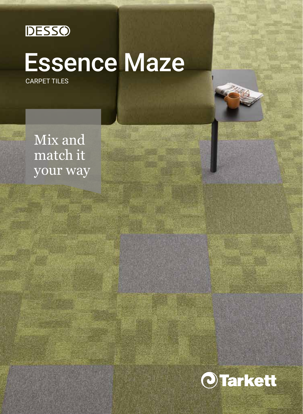

# Essence Maze

CARPET TILES

Mix and match it your way

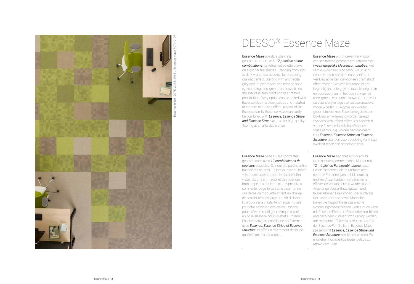

Essence 6408, 7075, 2925, 2915 / Essence Maze 7071, 9107

## DESSO ® Essence Maze

**Essence Maze** boasts a stunning geometric pattern with *12 possible colour combinations*. Its refreshed palette draws on eight neutral shades – ranging from light to dark – and four accents, for producing dramatic effect. Starting with anthracite grey and taupe browns, and moving on to eye-catching reds, greens and navy blues, the individual tiles grant endless creative possibilities. Every option can be paired with Essence tiles in a block colour, and installed at random to striking effect. As part of the Essence family, Essence Maze can easily be combined with *Essence, Essence Stripe*  and Essence Structure, to offer high quality flooring at an affordable price.

Essence Maze mise sur les contrastes géométriques avec *12 combinaisons de couleurs* possibles. Sa nouvelle palette utilise huit teintes neutres – allant du clair au foncé – et quatre accents, pour le plus bel effet visuel. Du gris anthracite et des nuances brun taupe aux couleurs plus expressives comme le rouge, le vert et le bleu marine, ces dalles de moquette offrent un champ de possibilités très large. Il suffit de laisser libre cours à la créativité. Chaque modèle peut être associé à des dalles Essence pour créer un motif géométrique coloré, en pose aléatoire pour un effet surprenant. Essence Maze se coordonne parfaitement avec *Essence, Essence Stripe et Essence Structure*, et offre un revêtement de sol de qualité à un prix abordable.

Essence Maze wordt gekenmerkt door een schitterend geometrisch patroon met *twaalf mogelijke kleurencombinaties*. Het vernieuwde palet is opgebouwd uit acht neutrale tinten, van licht naar donker, en vier kleuraccenten die voor een dramatisch effect zorgen. Met een kleurenpalet dat begint bij antracietgrijs en taupekleurig bruin en doorloopt naar in het oog springende rode, groene en marineblauwe tinten, bieden de afzonderlijke tegels eindeloze creatieve mogelijkheden. Elke optie kan worden gecombineerd met Essence-tegels in een blokkleur en willekeurig worden gelegd voor een verbluffend effect. Als onderdeel van de Essence-familie kan Essence Maze eenvoudig worden gecombineerd met *Essence, Essence Stripe en Essence Structure* voor een vloerbedekking van hoge kwaliteit tegen een betaalbare prijs.

Essence Maze zeichnet sich durch ihr interessantes geometrisches Muster mit *12 möglichen Farbkombinationen* aus. Die erfrischende Palette umfasst acht neutrale Farbtöne (von hell bis dunkel) und vier Akzentfarben, mit denen eine effektvolle Wirkung erzielt werden kann. Angefangen bei anthrazitgrauen und taupefarbenen Brauntönen über auffällige Rot- und Grüntöne sowie Marineblau bieten die Teppichfliesen zahlreiche Gestaltungsmöglichkeiten. Jede Option kann mit Essence-Fliesen in Blockfarbe kombiniert und nach dem Zufallsprinzip verlegt werden, um markante Effekte zu erzeugen. Als Teil der Essence-Familie kann Essence Maze passend mit *Essence, Essence Stripe und Essence Structure* kombiniert werden. Es entstehen hochwertige Bodenbeläge zu attraktivem Preis.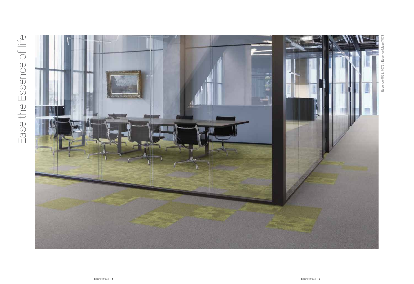# Ease the Essence of life Ease the Essence of life

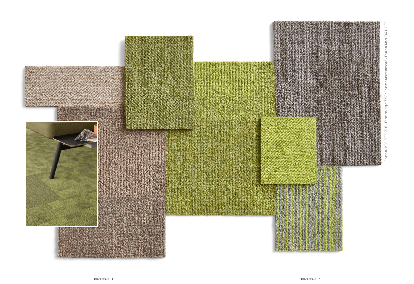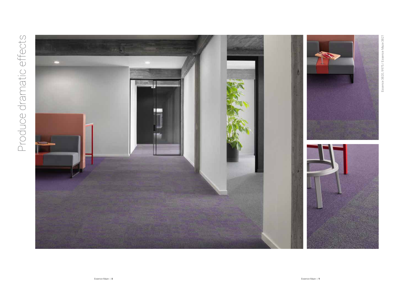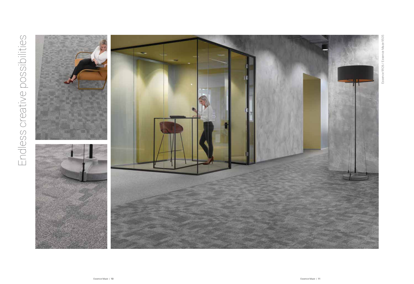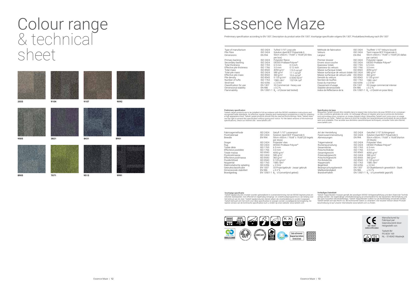## Colour range & technical sheet





## Essence Maze

Preliminary specification according to EN 1307, Description du produit selon EN 1307, Voorlopige specificatie volgens EN 1307, Produktbeschreibung nach EN 1307

| Type of manufacture<br>Pile Fibre<br><b>Dimensions</b>                                                                                                                                                                  | ISO 2424<br>ISO 2424<br>EN 994                                                                                                  | Tufted 1/10" Loop pile                                                                                                                                                                                                                | Solution dyed BCF Polyamide 6<br>50cm x50cm / 19,68" x 19,68" (20 tiles                                                                                        | Méthode de fabrication<br>Velours<br>Largeur                                                                                                                                                                                                                                           | ISO 2424<br>ISO 2424<br>EN 994                                                                                      | Touffeté 1/10" Velours bouclé<br>Teint masse BCF Polyamide 6<br>50cm x50cm / 19,68" x 19,68" (20 dallas                                                                                                                                                     |
|-------------------------------------------------------------------------------------------------------------------------------------------------------------------------------------------------------------------------|---------------------------------------------------------------------------------------------------------------------------------|---------------------------------------------------------------------------------------------------------------------------------------------------------------------------------------------------------------------------------------|----------------------------------------------------------------------------------------------------------------------------------------------------------------|----------------------------------------------------------------------------------------------------------------------------------------------------------------------------------------------------------------------------------------------------------------------------------------|---------------------------------------------------------------------------------------------------------------------|-------------------------------------------------------------------------------------------------------------------------------------------------------------------------------------------------------------------------------------------------------------|
| Primary backing<br>Secondary backing<br>Total thickness<br>Effective pile thickness<br>Total mass<br>Total pile mass<br>Effective pile mass<br>Pile density<br>Number of tufts<br>Stroll test<br>Classification for use | ISO 2424<br>ISO 2424<br>ISO 1765<br>ISO 1766<br>ISO 8543<br>ISO 2424<br>ISO 8543<br>ISO 8543<br>ISO 1763<br>ISO 6356<br>EN 1307 | per box)<br>Polyester fleece<br>DESSO ProBase Polyver®<br>$6.5$ mm<br>$3.0$ mm<br>4050 $a/m^2$<br>580 $a/m^2$<br>360 g/m <sup>2</sup><br>$0.120 \text{ g/cm}^3$<br>1580/dm <sup>2</sup><br>$\leq 2.0$ kV<br>33 Commercial - heavy use | $0.3$ inch<br>$0.12$ inch<br>119.5 oz/yd <sup>2</sup><br>17.1 $oz/vd^2$<br>$10.6$ oz/yd <sup>2</sup><br>$0.0043$ lb/in <sup>3</sup><br>132104 /vd <sup>2</sup> | Premier dossier<br>Envers sous-couche<br>Epaisseur totale<br>Epaisseur du velours<br>Masse surfacique totale<br>Masse surfacique de velours totale ISO 2424<br>Masse surfacique de velours utile<br>Densité du velours<br>Nombre de touffes<br>Essai du marcheur<br>Classement d'usage | ISO 2424<br>ISO 2424<br>ISO 1765<br>ISO 1766<br>ISO 8543<br>ISO 8543<br>ISO 8543<br>ISO 1763<br>ISO 6356<br>EN 1307 | par carton)<br>Polyester nappe<br>DESSO ProBase Polyver®<br>$6.5 \text{ mm}$<br>3.0 <sub>mm</sub><br>4050 $a/m^2$<br>580 $q/m^2$<br>360 g/m <sup>2</sup><br>$0.120 \text{ g/cm}^3$<br>1580 /dm <sup>2</sup><br>$\leq 2.0$ kV<br>33 Usage commercial intense |
| Dimensional stability<br>Flammability                                                                                                                                                                                   | EN 986<br>EN 13501-1                                                                                                            | $\leq 0.2 \%$<br>B <sub>c</sub> - s1(loose laid tested)                                                                                                                                                                               |                                                                                                                                                                | Stabilité dimensionelle<br>Indice de Réflectance de la                                                                                                                                                                                                                                 | EN 986<br>EN 13501-1                                                                                                | $\leq 0.2 \%$<br>B <sub>c</sub> - s1(testé en pose libre)                                                                                                                                                                                                   |
|                                                                                                                                                                                                                         |                                                                                                                                 |                                                                                                                                                                                                                                       |                                                                                                                                                                |                                                                                                                                                                                                                                                                                        |                                                                                                                     |                                                                                                                                                                                                                                                             |

**Preliminary specification**<br>Tarkett carpet products are to be installed in full accordance with the DESSO installation instructions and<br>recognised trade standards. An effective, regular cleaning and maintenance programme i ves the right to amend this specification without giving prior notice. For the latest versions of the technical specifications, check our internet site: www.tarkett.com

Art der Herstellung

Spécification de base<br>Moduettes Tarkett doivent être installés dans le respect des instructions de pose DESSO et en connaisan-<br>ce des conditions générales de vente. Un nettoyage efficace et régulier ainsi qu'un protocole d www.tarkett.com

| Fabricagemethode          | ISO 2424      | Getuft 1/10" Lussenpool                              |
|---------------------------|---------------|------------------------------------------------------|
| Poolmateriaal             | ISO 2424      | Solution dyed BCF Polyamide 6                        |
| <b>Breedte</b>            | <b>EN 994</b> | 50cm x50cm / 19,68" x 19,68" (20 tegels<br>per doos) |
| Drager                    | ISO 2424      | Polyester vlies                                      |
| Rua                       | ISO 2424      | DESSO ProBase Polyver®                               |
| Totale dikte              | ISO 1765      | $6.5 \text{ mm}$                                     |
| Effectieve pooldikte      | ISO 1766      | $3.0 \text{ mm}$                                     |
| Totale massa              | ISO 8543      | 4050 $q/m^2$                                         |
| Poolinzetmassa            | ISO 2424      | 580 $a/m^2$                                          |
| Effectieve poolmassa      | ISO 8543      | 360 g/m <sup>2</sup>                                 |
| Pooldichtheid             | ISO 8543      | $0.120$ g/cm <sup>3</sup>                            |
| Noppental                 | ISO 1763      | $1580$ /dm <sup>2</sup>                              |
| Elektrostatische oplading | ISO 6356      | $< 2.0$ kV                                           |
| Gebruiksclassificatie     | EN 1307       | 33 Projectgebruik - zwaar gebruik                    |
| Dimensionele stabiliteit  | EN 986        | $0.2\%$                                              |
| Brandgedrag               | EN 13501-1    | $Bn$ - s1(onverlijmd getest)                         |
|                           |               |                                                      |

Faserzusammensetzung Abmessungen Trägermaterial Rückenausrüstung Gesamtdicke Polschichtdicke Gesamtgewicht Poleinsatzgewicht Polschichtgewicht Pol-Rohdichte Noppenzahl Begehtest Beanspruchungsbereich Maßbeständigkeit **Brandverhalten** ISO 2424 Getuftet 1/10" Schlingenpo ISO 2424 EN 994 Solution Dyed BCF Polyamide 6 50cm x50cm / 19,68" x 19,68"(Karton ISO 2424 ISO 2424 ISO 1765 ISO 1766 ISO 8543 ISO 2424 ISO 8543 360 g/m<sup>2</sup><br>ISO 8543 0.120 g/cm<sup>3</sup> ISO 1763 ISO 6356 EN 1307 ≤ 2.0 kV 33 Objektbereich gewerblich - Stark EN 986  $\leq 0.2$  %<br>EN 13501-1  $B_n$  - s1(unverklebt geprüft) 20 Stück) Polyester Vlies DESSO ProBase Polyver® 6.5 mm 3.0 mm 4050 g/m<sup>2</sup><br>580 g/m<sup>2</sup>  $1580$  /dm<sup>2</sup>

Voorlopige specificatie<br>Tarkett tapițproducten moeten worden geïnstalleerd in overeenstemming met de DESSO leginstructies en<br>erkende standaarden. Een effectief en regelmatig reinigings- en onderhoudsprogramma is van belang

**3333** Dutky and Environmental<br>Management System Cantillation<br>60 1000 de SSO Victor  $+2$ **EXECUTE THE CRADLE TO CRADLE CERTIFIED M** is a certification material material materials in the contract of the contract of the contract of the contract of the contract of the contract of the contract of the contract of t

Vorläufiges Datenblatt<br>Tarkett Teppichböden müssen gemäß der jeweiligen DESSO Verlegeempfehlung und dem Stand der Technik<br>verlegt werden. Die regelmäßige Unterhaltsreinigung ist entscheidend für die Sauberkeit, Werterhaltu beschreibung ist auf unserer Internetseite www.tarkett.com zu finden.